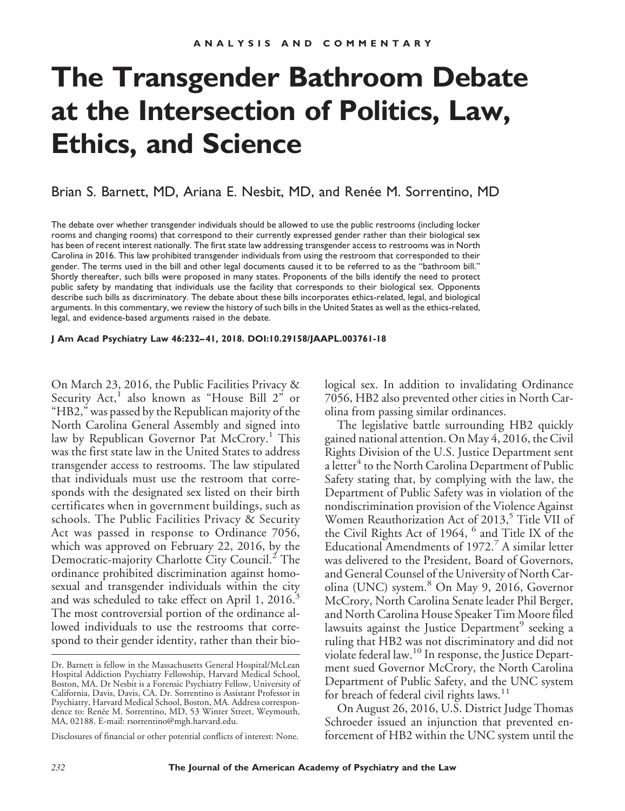# **The Transgender Bathroom Debate at the Intersection of Politics, Law, Ethics, and Science**

# Brian S. Barnett, MD, Ariana E. Nesbit, MD, and Renée M. Sorrentino, MD

The debate over whether transgender individuals should be allowed to use the public restrooms (including locker rooms and changing rooms) that correspond to their currently expressed gender rather than their biological sex has been of recent interest nationally. The first state law addressing transgender access to restrooms was in North Carolina in 2016. This law prohibited transgender individuals from using the restroom that corresponded to their gender. The terms used in the bill and other legal documents caused it to be referred to as the "bathroom bill." Shortly thereafter, such bills were proposed in many states. Proponents of the bills identify the need to protect public safety by mandating that individuals use the facility that corresponds to their biological sex. Opponents describe such bills as discriminatory. The debate about these bills incorporates ethics-related, legal, and biological arguments. In this commentary, we review the history of such bills in the United States as well as the ethics-related, legal, and evidence-based arguments raised in the debate.

#### **J Am Acad Psychiatry Law 46:232– 41, 2018. DOI:10.29158/JAAPL.003761-18**

On March 23, 2016, the Public Facilities Privacy & Security  $Act, 1$  also known as "House Bill 2" or "HB2," was passed by the Republican majority of the North Carolina General Assembly and signed into law by Republican Governor Pat McCrory.<sup>1</sup> This was the first state law in the United States to address transgender access to restrooms. The law stipulated that individuals must use the restroom that corresponds with the designated sex listed on their birth certificates when in government buildings, such as schools. The Public Facilities Privacy & Security Act was passed in response to Ordinance 7056, which was approved on February 22, 2016, by the Democratic-majority Charlotte City Council.<sup>2</sup> The ordinance prohibited discrimination against homosexual and transgender individuals within the city and was scheduled to take effect on April 1, 2016.<sup>3</sup> The most controversial portion of the ordinance allowed individuals to use the restrooms that correspond to their gender identity, rather than their biological sex. In addition to invalidating Ordinance 7056, HB2 also prevented other cities in North Carolina from passing similar ordinances.

The legislative battle surrounding HB2 quickly gained national attention. On May 4, 2016, the Civil Rights Division of the U.S. Justice Department sent a letter<sup>4</sup> to the North Carolina Department of Public Safety stating that, by complying with the law, the Department of Public Safety was in violation of the nondiscrimination provision of the Violence Against Women Reauthorization Act of 2013,<sup>5</sup> Title VII of the Civil Rights Act of 1964, <sup>6</sup> and Title IX of the Educational Amendments of  $1972<sup>7</sup>$  A similar letter was delivered to the President, Board of Governors, and General Counsel of the University of North Carolina (UNC) system. $8$  On May 9, 2016, Governor McCrory, North Carolina Senate leader Phil Berger, and North Carolina House Speaker Tim Moore filed lawsuits against the Justice Department<sup>9</sup> seeking a ruling that HB2 was not discriminatory and did not violate federal law.<sup>10</sup> In response, the Justice Department sued Governor McCrory, the North Carolina Department of Public Safety, and the UNC system for breach of federal civil rights laws.<sup>11</sup>

On August 26, 2016, U.S. District Judge Thomas Schroeder issued an injunction that prevented enforcement of HB2 within the UNC system until the

Dr. Barnett is fellow in the Massachusetts General Hospital/McLean Hospital Addiction Psychiatry Fellowship, Harvard Medical School, Boston, MA. Dr Nesbit is a Forensic Psychiatry Fellow, University of California, Davis, Davis, CA. Dr. Sorrentino is Assistant Professor in Psychiatry, Harvard Medical School, Boston, MA. Address correspondence to: Renée M. Sorrentino, MD, 53 Winter Street, Weymouth, MA, 02188. E-mail: rsorrentino@mgh.harvard.edu.

Disclosures of financial or other potential conflicts of interest: None.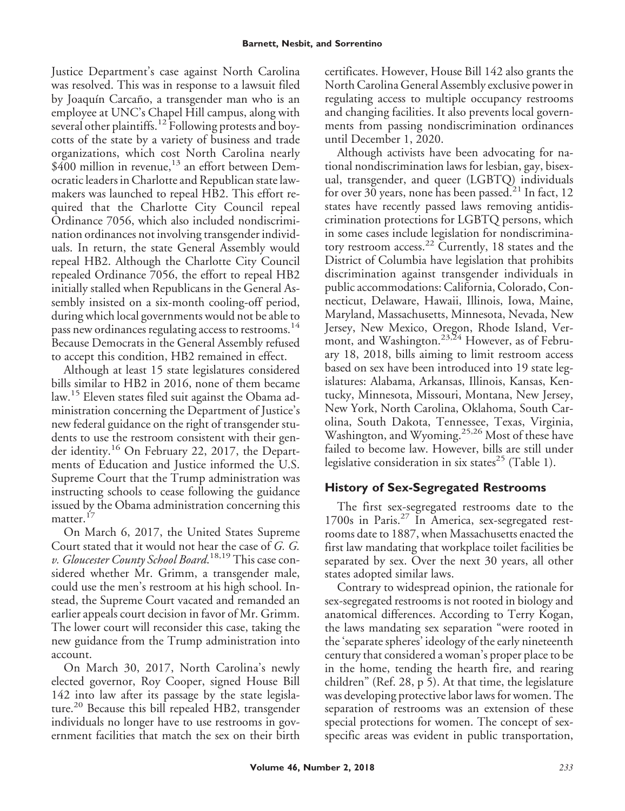Justice Department's case against North Carolina was resolved. This was in response to a lawsuit filed by Joaquín Carcaño, a transgender man who is an employee at UNC's Chapel Hill campus, along with several other plaintiffs.<sup>12</sup> Following protests and boycotts of the state by a variety of business and trade organizations, which cost North Carolina nearly  $$400$  million in revenue,<sup>13</sup> an effort between Democratic leaders in Charlotte and Republican state lawmakers was launched to repeal HB2. This effort required that the Charlotte City Council repeal Ordinance 7056, which also included nondiscrimination ordinances not involving transgender individuals. In return, the state General Assembly would repeal HB2. Although the Charlotte City Council repealed Ordinance 7056, the effort to repeal HB2 initially stalled when Republicans in the General Assembly insisted on a six-month cooling-off period, during which local governments would not be able to pass new ordinances regulating access to restrooms.<sup>14</sup> Because Democrats in the General Assembly refused to accept this condition, HB2 remained in effect.

Although at least 15 state legislatures considered bills similar to HB2 in 2016, none of them became law.<sup>15</sup> Eleven states filed suit against the Obama administration concerning the Department of Justice's new federal guidance on the right of transgender students to use the restroom consistent with their gender identity.<sup>16</sup> On February 22, 2017, the Departments of Education and Justice informed the U.S. Supreme Court that the Trump administration was instructing schools to cease following the guidance issued by the Obama administration concerning this  $matter.<sup>1</sup>$ 

On March 6, 2017, the United States Supreme Court stated that it would not hear the case of *G. G. v. Gloucester County School Board*. 18,19 This case considered whether Mr. Grimm, a transgender male, could use the men's restroom at his high school. Instead, the Supreme Court vacated and remanded an earlier appeals court decision in favor of Mr. Grimm. The lower court will reconsider this case, taking the new guidance from the Trump administration into account.

On March 30, 2017, North Carolina's newly elected governor, Roy Cooper, signed House Bill 142 into law after its passage by the state legislature.<sup>20</sup> Because this bill repealed HB2, transgender individuals no longer have to use restrooms in government facilities that match the sex on their birth

certificates. However, House Bill 142 also grants the North Carolina General Assembly exclusive power in regulating access to multiple occupancy restrooms and changing facilities. It also prevents local governments from passing nondiscrimination ordinances until December 1, 2020.

Although activists have been advocating for national nondiscrimination laws for lesbian, gay, bisexual, transgender, and queer (LGBTQ) individuals for over 30 years, none has been passed.<sup>21</sup> In fact, 12 states have recently passed laws removing antidiscrimination protections for LGBTQ persons, which in some cases include legislation for nondiscriminatory restroom access.<sup>22</sup> Currently, 18 states and the District of Columbia have legislation that prohibits discrimination against transgender individuals in public accommodations: California, Colorado, Connecticut, Delaware, Hawaii, Illinois, Iowa, Maine, Maryland, Massachusetts, Minnesota, Nevada, New Jersey, New Mexico, Oregon, Rhode Island, Vermont, and Washington.<sup>23,24</sup> However, as of February 18, 2018, bills aiming to limit restroom access based on sex have been introduced into 19 state legislatures: Alabama, Arkansas, Illinois, Kansas, Kentucky, Minnesota, Missouri, Montana, New Jersey, New York, North Carolina, Oklahoma, South Carolina, South Dakota, Tennessee, Texas, Virginia, Washington, and Wyoming.<sup>25,26</sup> Most of these have failed to become law. However, bills are still under legislative consideration in six states<sup>25</sup> (Table 1).

# **History of Sex-Segregated Restrooms**

The first sex-segregated restrooms date to the  $1700s$  in Paris.<sup>27</sup> In America, sex-segregated restrooms date to 1887, when Massachusetts enacted the first law mandating that workplace toilet facilities be separated by sex. Over the next 30 years, all other states adopted similar laws.

Contrary to widespread opinion, the rationale for sex-segregated restrooms is not rooted in biology and anatomical differences. According to Terry Kogan, the laws mandating sex separation "were rooted in the 'separate spheres' ideology of the early nineteenth century that considered a woman's proper place to be in the home, tending the hearth fire, and rearing children" (Ref. 28, p 5). At that time, the legislature was developing protective labor laws for women. The separation of restrooms was an extension of these special protections for women. The concept of sexspecific areas was evident in public transportation,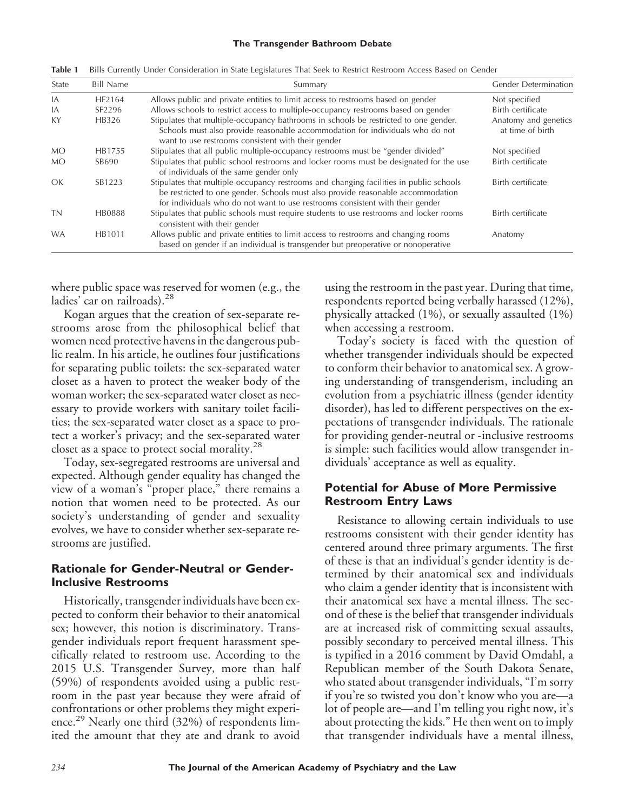|  | Table 1 Bills Currently Under Consideration in State Legislatures That Seek to Restrict Restroom Access Based on Gender |  |  |  |  |  |  |  |  |  |  |  |
|--|-------------------------------------------------------------------------------------------------------------------------|--|--|--|--|--|--|--|--|--|--|--|
|--|-------------------------------------------------------------------------------------------------------------------------|--|--|--|--|--|--|--|--|--|--|--|

| State     | <b>Bill Name</b> | Summary                                                                                                                                                                                                                                                    | <b>Gender Determination</b>              |
|-----------|------------------|------------------------------------------------------------------------------------------------------------------------------------------------------------------------------------------------------------------------------------------------------------|------------------------------------------|
| IA        | HF2164           | Allows public and private entities to limit access to restrooms based on gender                                                                                                                                                                            | Not specified                            |
| IA        | SF2296           | Allows schools to restrict access to multiple-occupancy restrooms based on gender                                                                                                                                                                          | Birth certificate                        |
| KY        | HB326            | Stipulates that multiple-occupancy bathrooms in schools be restricted to one gender.<br>Schools must also provide reasonable accommodation for individuals who do not<br>want to use restrooms consistent with their gender                                | Anatomy and genetics<br>at time of birth |
| <b>MO</b> | HB1755           | Stipulates that all public multiple-occupancy restrooms must be "gender divided"                                                                                                                                                                           | Not specified                            |
| <b>MO</b> | SB690            | Stipulates that public school restrooms and locker rooms must be designated for the use<br>of individuals of the same gender only                                                                                                                          | Birth certificate                        |
| OK        | SB1223           | Stipulates that multiple-occupancy restrooms and changing facilities in public schools<br>be restricted to one gender. Schools must also provide reasonable accommodation<br>for individuals who do not want to use restrooms consistent with their gender | Birth certificate                        |
| <b>TN</b> | HB0888           | Stipulates that public schools must require students to use restrooms and locker rooms<br>consistent with their gender                                                                                                                                     | Birth certificate                        |
| <b>WA</b> | HB1011           | Allows public and private entities to limit access to restrooms and changing rooms<br>based on gender if an individual is transgender but preoperative or nonoperative                                                                                     | Anatomy                                  |

where public space was reserved for women (e.g., the ladies' car on railroads).<sup>28</sup>

Kogan argues that the creation of sex-separate restrooms arose from the philosophical belief that women need protective havens in the dangerous public realm. In his article, he outlines four justifications for separating public toilets: the sex-separated water closet as a haven to protect the weaker body of the woman worker; the sex-separated water closet as necessary to provide workers with sanitary toilet facilities; the sex-separated water closet as a space to protect a worker's privacy; and the sex-separated water closet as a space to protect social morality.<sup>28</sup>

Today, sex-segregated restrooms are universal and expected. Although gender equality has changed the view of a woman's "proper place," there remains a notion that women need to be protected. As our society's understanding of gender and sexuality evolves, we have to consider whether sex-separate restrooms are justified.

# **Rationale for Gender-Neutral or Gender-Inclusive Restrooms**

Historically, transgender individuals have been expected to conform their behavior to their anatomical sex; however, this notion is discriminatory. Transgender individuals report frequent harassment specifically related to restroom use. According to the 2015 U.S. Transgender Survey, more than half (59%) of respondents avoided using a public restroom in the past year because they were afraid of confrontations or other problems they might experience.<sup>29</sup> Nearly one third (32%) of respondents limited the amount that they ate and drank to avoid

using the restroom in the past year. During that time, respondents reported being verbally harassed (12%), physically attacked (1%), or sexually assaulted (1%) when accessing a restroom.

Today's society is faced with the question of whether transgender individuals should be expected to conform their behavior to anatomical sex. A growing understanding of transgenderism, including an evolution from a psychiatric illness (gender identity disorder), has led to different perspectives on the expectations of transgender individuals. The rationale for providing gender-neutral or -inclusive restrooms is simple: such facilities would allow transgender individuals' acceptance as well as equality.

# **Potential for Abuse of More Permissive Restroom Entry Laws**

Resistance to allowing certain individuals to use restrooms consistent with their gender identity has centered around three primary arguments. The first of these is that an individual's gender identity is determined by their anatomical sex and individuals who claim a gender identity that is inconsistent with their anatomical sex have a mental illness. The second of these is the belief that transgender individuals are at increased risk of committing sexual assaults, possibly secondary to perceived mental illness. This is typified in a 2016 comment by David Omdahl, a Republican member of the South Dakota Senate, who stated about transgender individuals, "I'm sorry if you're so twisted you don't know who you are—a lot of people are—and I'm telling you right now, it's about protecting the kids." He then went on to imply that transgender individuals have a mental illness,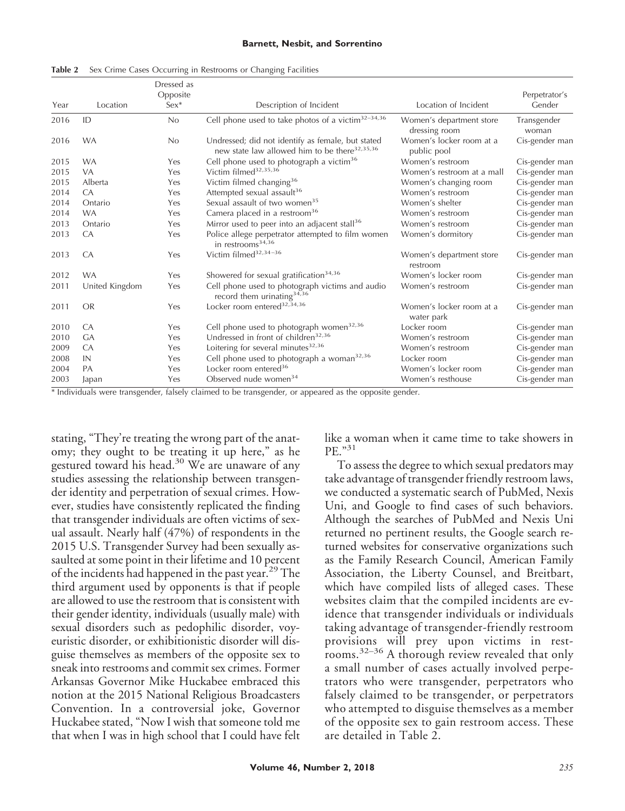#### **Barnett, Nesbit, and Sorrentino**

| Table 2 Sex Crime Cases Occurring in Restrooms or Changing Facilities |  |  |  |  |  |  |  |
|-----------------------------------------------------------------------|--|--|--|--|--|--|--|
|-----------------------------------------------------------------------|--|--|--|--|--|--|--|

| Year | Location       | Dressed as<br>Opposite<br>$Sex*$ | Description of Incident                                                                                        | Location of Incident                      | Perpetrator's<br>Gender |
|------|----------------|----------------------------------|----------------------------------------------------------------------------------------------------------------|-------------------------------------------|-------------------------|
|      |                |                                  |                                                                                                                |                                           |                         |
| 2016 | ID             | No                               | Cell phone used to take photos of a victim <sup>32-34,36</sup>                                                 | Women's department store<br>dressing room | Transgender<br>woman    |
| 2016 | <b>WA</b>      | No                               | Undressed; did not identify as female, but stated<br>new state law allowed him to be there <sup>32,35,36</sup> | Women's locker room at a<br>public pool   | Cis-gender man          |
| 2015 | <b>WA</b>      | Yes                              | Cell phone used to photograph a victim <sup>36</sup>                                                           | Women's restroom                          | Cis-gender man          |
| 2015 | <b>VA</b>      | Yes                              | Victim filmed <sup>32,35,36</sup>                                                                              | Women's restroom at a mall                | Cis-gender man          |
| 2015 | Alberta        | Yes                              | Victim filmed changing <sup>36</sup>                                                                           | Women's changing room                     | Cis-gender man          |
| 2014 | CA             | Yes                              | Attempted sexual assault <sup>36</sup>                                                                         | Women's restroom                          | Cis-gender man          |
| 2014 | Ontario        | Yes                              | Sexual assault of two women <sup>35</sup>                                                                      | Women's shelter                           | Cis-gender man          |
| 2014 | <b>WA</b>      | Yes                              | Camera placed in a restroom <sup>36</sup>                                                                      | Women's restroom                          | Cis-gender man          |
| 2013 | Ontario        | Yes                              | Mirror used to peer into an adjacent stall <sup>36</sup>                                                       | Women's restroom                          | Cis-gender man          |
| 2013 | CA             | Yes                              | Police allege perpetrator attempted to film women<br>in restrooms <sup>34,36</sup>                             | Women's dormitory                         | Cis-gender man          |
| 2013 | CA             | Yes                              | Victim filmed <sup>32,34-36</sup>                                                                              | Women's department store<br>restroom      | Cis-gender man          |
| 2012 | <b>WA</b>      | Yes                              | Showered for sexual gratification <sup>34,36</sup>                                                             | Women's locker room                       | Cis-gender man          |
| 2011 | United Kingdom | Yes                              | Cell phone used to photograph victims and audio<br>record them urinating $34,36$                               | Women's restroom                          | Cis-gender man          |
| 2011 | OR             | Yes                              | Locker room entered <sup>32,34,36</sup>                                                                        | Women's locker room at a<br>water park    | Cis-gender man          |
| 2010 | CA             | Yes                              | Cell phone used to photograph women <sup>32,36</sup>                                                           | Locker room                               | Cis-gender man          |
| 2010 | <b>GA</b>      | Yes                              | Undressed in front of children <sup>32,36</sup>                                                                | Women's restroom                          | Cis-gender man          |
| 2009 | CA             | Yes                              | Loitering for several minutes <sup>32,36</sup>                                                                 | Women's restroom                          | Cis-gender man          |
| 2008 | IN             | Yes                              | Cell phone used to photograph a woman <sup>32,36</sup>                                                         | Locker room                               | Cis-gender man          |
| 2004 | PA             | Yes                              | Locker room entered $36$                                                                                       | Women's locker room                       | Cis-gender man          |
| 2003 | Japan          | Yes                              | Observed nude women <sup>34</sup>                                                                              | Women's resthouse                         | Cis-gender man          |

\* Individuals were transgender, falsely claimed to be transgender, or appeared as the opposite gender.

stating, "They're treating the wrong part of the anatomy; they ought to be treating it up here," as he gestured toward his head.<sup>30</sup> We are unaware of any studies assessing the relationship between transgender identity and perpetration of sexual crimes. However, studies have consistently replicated the finding that transgender individuals are often victims of sexual assault. Nearly half (47%) of respondents in the 2015 U.S. Transgender Survey had been sexually assaulted at some point in their lifetime and 10 percent of the incidents had happened in the past year.<sup>29</sup> The third argument used by opponents is that if people are allowed to use the restroom that is consistent with their gender identity, individuals (usually male) with sexual disorders such as pedophilic disorder, voyeuristic disorder, or exhibitionistic disorder will disguise themselves as members of the opposite sex to sneak into restrooms and commit sex crimes. Former Arkansas Governor Mike Huckabee embraced this notion at the 2015 National Religious Broadcasters Convention. In a controversial joke, Governor Huckabee stated, "Now I wish that someone told me that when I was in high school that I could have felt like a woman when it came time to take showers in PE."<sup>31</sup>

To assess the degree to which sexual predators may take advantage of transgender friendly restroom laws, we conducted a systematic search of PubMed, Nexis Uni, and Google to find cases of such behaviors. Although the searches of PubMed and Nexis Uni returned no pertinent results, the Google search returned websites for conservative organizations such as the Family Research Council, American Family Association, the Liberty Counsel, and Breitbart, which have compiled lists of alleged cases. These websites claim that the compiled incidents are evidence that transgender individuals or individuals taking advantage of transgender-friendly restroom provisions will prey upon victims in restrooms. $32-36$  A thorough review revealed that only a small number of cases actually involved perpetrators who were transgender, perpetrators who falsely claimed to be transgender, or perpetrators who attempted to disguise themselves as a member of the opposite sex to gain restroom access. These are detailed in Table 2.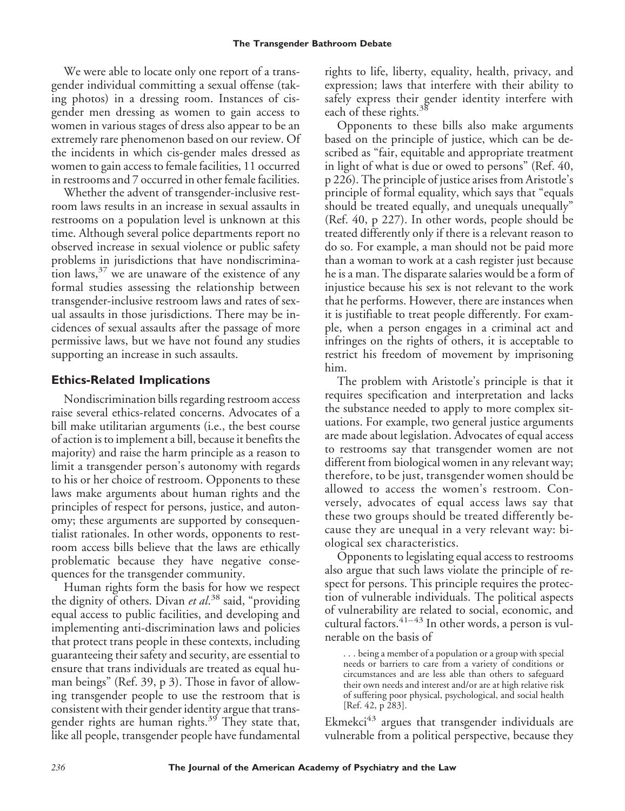We were able to locate only one report of a transgender individual committing a sexual offense (taking photos) in a dressing room. Instances of cisgender men dressing as women to gain access to women in various stages of dress also appear to be an extremely rare phenomenon based on our review. Of the incidents in which cis-gender males dressed as women to gain access to female facilities, 11 occurred in restrooms and 7 occurred in other female facilities.

Whether the advent of transgender-inclusive restroom laws results in an increase in sexual assaults in restrooms on a population level is unknown at this time. Although several police departments report no observed increase in sexual violence or public safety problems in jurisdictions that have nondiscrimination laws,  $37$  we are unaware of the existence of any formal studies assessing the relationship between transgender-inclusive restroom laws and rates of sexual assaults in those jurisdictions. There may be incidences of sexual assaults after the passage of more permissive laws, but we have not found any studies supporting an increase in such assaults.

# **Ethics-Related Implications**

Nondiscrimination bills regarding restroom access raise several ethics-related concerns. Advocates of a bill make utilitarian arguments (i.e., the best course of action is to implement a bill, because it benefits the majority) and raise the harm principle as a reason to limit a transgender person's autonomy with regards to his or her choice of restroom. Opponents to these laws make arguments about human rights and the principles of respect for persons, justice, and autonomy; these arguments are supported by consequentialist rationales. In other words, opponents to restroom access bills believe that the laws are ethically problematic because they have negative consequences for the transgender community.

Human rights form the basis for how we respect the dignity of others. Divan *et al*. <sup>38</sup> said, "providing equal access to public facilities, and developing and implementing anti-discrimination laws and policies that protect trans people in these contexts, including guaranteeing their safety and security, are essential to ensure that trans individuals are treated as equal human beings" (Ref. 39, p 3). Those in favor of allowing transgender people to use the restroom that is consistent with their gender identity argue that transgender rights are human rights.<sup>39</sup> They state that, like all people, transgender people have fundamental

rights to life, liberty, equality, health, privacy, and expression; laws that interfere with their ability to safely express their gender identity interfere with each of these rights.<sup>38</sup>

Opponents to these bills also make arguments based on the principle of justice, which can be described as "fair, equitable and appropriate treatment in light of what is due or owed to persons" (Ref. 40, p 226). The principle of justice arises from Aristotle's principle of formal equality, which says that "equals should be treated equally, and unequals unequally" (Ref. 40, p 227). In other words, people should be treated differently only if there is a relevant reason to do so. For example, a man should not be paid more than a woman to work at a cash register just because he is a man. The disparate salaries would be a form of injustice because his sex is not relevant to the work that he performs. However, there are instances when it is justifiable to treat people differently. For example, when a person engages in a criminal act and infringes on the rights of others, it is acceptable to restrict his freedom of movement by imprisoning him.

The problem with Aristotle's principle is that it requires specification and interpretation and lacks the substance needed to apply to more complex situations. For example, two general justice arguments are made about legislation. Advocates of equal access to restrooms say that transgender women are not different from biological women in any relevant way; therefore, to be just, transgender women should be allowed to access the women's restroom. Conversely, advocates of equal access laws say that these two groups should be treated differently because they are unequal in a very relevant way: biological sex characteristics.

Opponents to legislating equal access to restrooms also argue that such laws violate the principle of respect for persons. This principle requires the protection of vulnerable individuals. The political aspects of vulnerability are related to social, economic, and cultural factors. $41-43$  In other words, a person is vulnerable on the basis of

. . . being a member of a population or a group with special needs or barriers to care from a variety of conditions or circumstances and are less able than others to safeguard their own needs and interest and/or are at high relative risk of suffering poor physical, psychological, and social health [Ref. 42, p 283].

Ekmekci<sup>43</sup> argues that transgender individuals are vulnerable from a political perspective, because they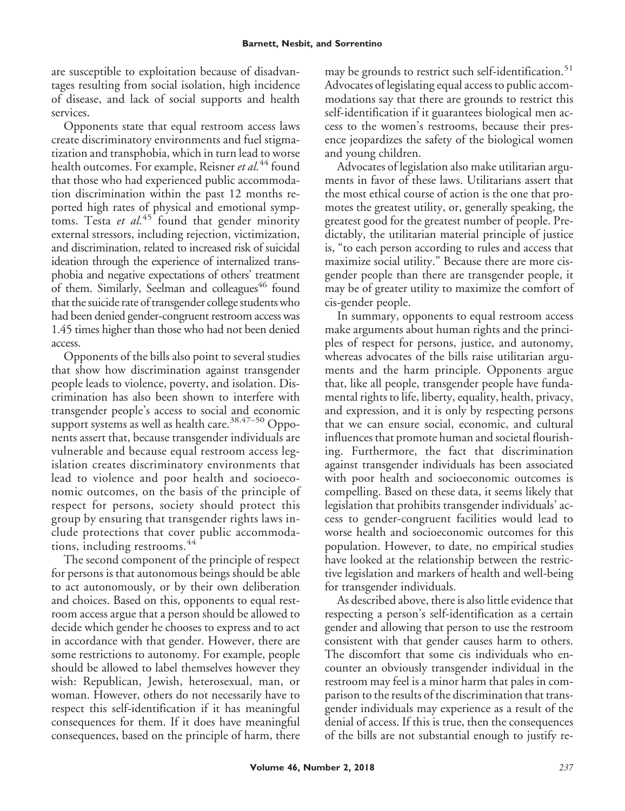are susceptible to exploitation because of disadvantages resulting from social isolation, high incidence of disease, and lack of social supports and health services.

Opponents state that equal restroom access laws create discriminatory environments and fuel stigmatization and transphobia, which in turn lead to worse health outcomes. For example, Reisner *et al.*<sup>44</sup> found that those who had experienced public accommodation discrimination within the past 12 months reported high rates of physical and emotional symptoms. Testa *et al.*<sup>45</sup> found that gender minority external stressors, including rejection, victimization, and discrimination, related to increased risk of suicidal ideation through the experience of internalized transphobia and negative expectations of others' treatment of them. Similarly, Seelman and colleagues<sup>46</sup> found that the suicide rate of transgender college students who had been denied gender-congruent restroom access was 1.45 times higher than those who had not been denied access.

Opponents of the bills also point to several studies that show how discrimination against transgender people leads to violence, poverty, and isolation. Discrimination has also been shown to interfere with transgender people's access to social and economic support systems as well as health care.<sup>38,47–50</sup> Opponents assert that, because transgender individuals are vulnerable and because equal restroom access legislation creates discriminatory environments that lead to violence and poor health and socioeconomic outcomes, on the basis of the principle of respect for persons, society should protect this group by ensuring that transgender rights laws include protections that cover public accommodations, including restrooms.<sup>44</sup>

The second component of the principle of respect for persons is that autonomous beings should be able to act autonomously, or by their own deliberation and choices. Based on this, opponents to equal restroom access argue that a person should be allowed to decide which gender he chooses to express and to act in accordance with that gender. However, there are some restrictions to autonomy. For example, people should be allowed to label themselves however they wish: Republican, Jewish, heterosexual, man, or woman. However, others do not necessarily have to respect this self-identification if it has meaningful consequences for them. If it does have meaningful consequences, based on the principle of harm, there may be grounds to restrict such self-identification.<sup>51</sup> Advocates of legislating equal access to public accommodations say that there are grounds to restrict this self-identification if it guarantees biological men access to the women's restrooms, because their presence jeopardizes the safety of the biological women and young children.

Advocates of legislation also make utilitarian arguments in favor of these laws. Utilitarians assert that the most ethical course of action is the one that promotes the greatest utility, or, generally speaking, the greatest good for the greatest number of people. Predictably, the utilitarian material principle of justice is, "to each person according to rules and access that maximize social utility." Because there are more cisgender people than there are transgender people, it may be of greater utility to maximize the comfort of cis-gender people.

In summary, opponents to equal restroom access make arguments about human rights and the principles of respect for persons, justice, and autonomy, whereas advocates of the bills raise utilitarian arguments and the harm principle. Opponents argue that, like all people, transgender people have fundamental rights to life, liberty, equality, health, privacy, and expression, and it is only by respecting persons that we can ensure social, economic, and cultural influences that promote human and societal flourishing. Furthermore, the fact that discrimination against transgender individuals has been associated with poor health and socioeconomic outcomes is compelling. Based on these data, it seems likely that legislation that prohibits transgender individuals' access to gender-congruent facilities would lead to worse health and socioeconomic outcomes for this population. However, to date, no empirical studies have looked at the relationship between the restrictive legislation and markers of health and well-being for transgender individuals.

As described above, there is also little evidence that respecting a person's self-identification as a certain gender and allowing that person to use the restroom consistent with that gender causes harm to others. The discomfort that some cis individuals who encounter an obviously transgender individual in the restroom may feel is a minor harm that pales in comparison to the results of the discrimination that transgender individuals may experience as a result of the denial of access. If this is true, then the consequences of the bills are not substantial enough to justify re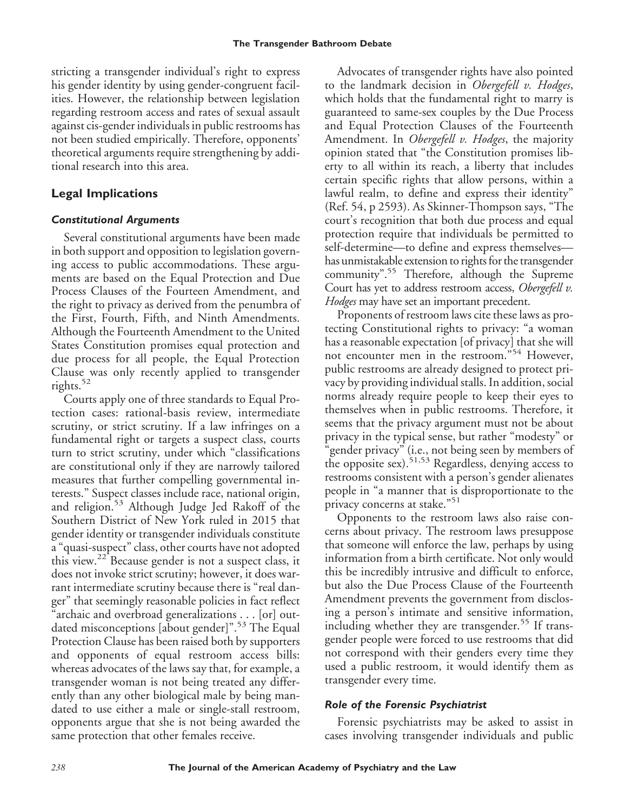stricting a transgender individual's right to express his gender identity by using gender-congruent facilities. However, the relationship between legislation regarding restroom access and rates of sexual assault against cis-gender individuals in public restrooms has not been studied empirically. Therefore, opponents' theoretical arguments require strengthening by additional research into this area.

# **Legal Implications**

### *Constitutional Arguments*

Several constitutional arguments have been made in both support and opposition to legislation governing access to public accommodations. These arguments are based on the Equal Protection and Due Process Clauses of the Fourteen Amendment, and the right to privacy as derived from the penumbra of the First, Fourth, Fifth, and Ninth Amendments. Although the Fourteenth Amendment to the United States Constitution promises equal protection and due process for all people, the Equal Protection Clause was only recently applied to transgender rights. $52$ 

Courts apply one of three standards to Equal Protection cases: rational-basis review, intermediate scrutiny, or strict scrutiny. If a law infringes on a fundamental right or targets a suspect class, courts turn to strict scrutiny, under which "classifications are constitutional only if they are narrowly tailored measures that further compelling governmental interests." Suspect classes include race, national origin, and religion.<sup>53</sup> Although Judge Jed Rakoff of the Southern District of New York ruled in 2015 that gender identity or transgender individuals constitute a "quasi-suspect" class, other courts have not adopted this view.<sup>22</sup> Because gender is not a suspect class, it does not invoke strict scrutiny; however, it does warrant intermediate scrutiny because there is "real danger" that seemingly reasonable policies in fact reflect "archaic and overbroad generalizations... [or] outdated misconceptions [about gender]".<sup>53</sup> The Equal Protection Clause has been raised both by supporters and opponents of equal restroom access bills: whereas advocates of the laws say that, for example, a transgender woman is not being treated any differently than any other biological male by being mandated to use either a male or single-stall restroom, opponents argue that she is not being awarded the same protection that other females receive.

Advocates of transgender rights have also pointed to the landmark decision in *Obergefell v. Hodges*, which holds that the fundamental right to marry is guaranteed to same-sex couples by the Due Process and Equal Protection Clauses of the Fourteenth Amendment. In *Obergefell v. Hodges*, the majority opinion stated that "the Constitution promises liberty to all within its reach, a liberty that includes certain specific rights that allow persons, within a lawful realm, to define and express their identity" (Ref. 54, p 2593). As Skinner-Thompson says, "The court's recognition that both due process and equal protection require that individuals be permitted to self-determine—to define and express themselves has unmistakable extension to rights for the transgender community".55 Therefore, although the Supreme Court has yet to address restroom access, *Obergefell v. Hodges* may have set an important precedent.

Proponents of restroom laws cite these laws as protecting Constitutional rights to privacy: "a woman has a reasonable expectation [of privacy] that she will not encounter men in the restroom."<sup>54</sup> However, public restrooms are already designed to protect privacy by providing individual stalls. In addition, social norms already require people to keep their eyes to themselves when in public restrooms. Therefore, it seems that the privacy argument must not be about privacy in the typical sense, but rather "modesty" or "gender privacy" (i.e., not being seen by members of the opposite sex).51,53 Regardless, denying access to restrooms consistent with a person's gender alienates people in "a manner that is disproportionate to the privacy concerns at stake."<sup>51</sup>

Opponents to the restroom laws also raise concerns about privacy. The restroom laws presuppose that someone will enforce the law, perhaps by using information from a birth certificate. Not only would this be incredibly intrusive and difficult to enforce, but also the Due Process Clause of the Fourteenth Amendment prevents the government from disclosing a person's intimate and sensitive information, including whether they are transgender.<sup>55</sup> If transgender people were forced to use restrooms that did not correspond with their genders every time they used a public restroom, it would identify them as transgender every time.

## *Role of the Forensic Psychiatrist*

Forensic psychiatrists may be asked to assist in cases involving transgender individuals and public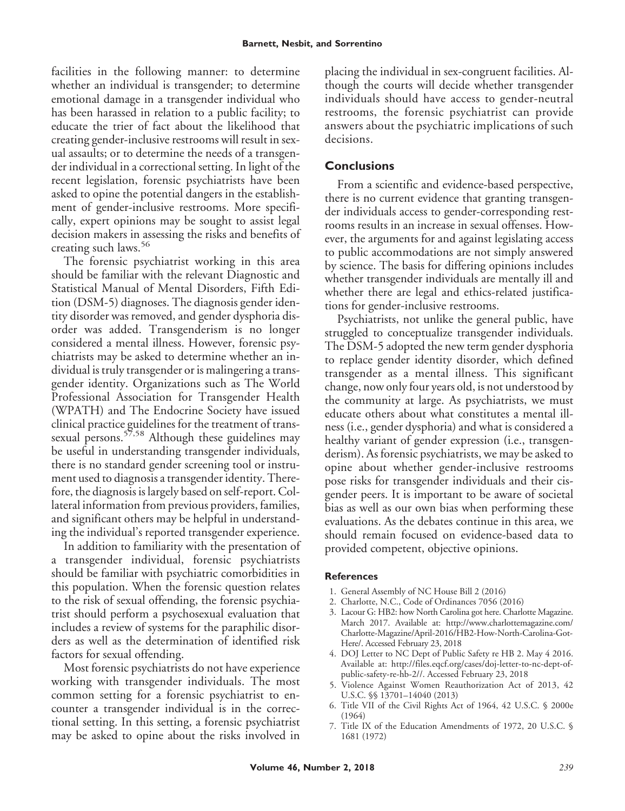facilities in the following manner: to determine whether an individual is transgender; to determine emotional damage in a transgender individual who has been harassed in relation to a public facility; to educate the trier of fact about the likelihood that creating gender-inclusive restrooms will result in sexual assaults; or to determine the needs of a transgender individual in a correctional setting. In light of the recent legislation, forensic psychiatrists have been asked to opine the potential dangers in the establishment of gender-inclusive restrooms. More specifically, expert opinions may be sought to assist legal decision makers in assessing the risks and benefits of creating such laws.<sup>56</sup>

The forensic psychiatrist working in this area should be familiar with the relevant Diagnostic and Statistical Manual of Mental Disorders, Fifth Edition (DSM-5) diagnoses. The diagnosis gender identity disorder was removed, and gender dysphoria disorder was added. Transgenderism is no longer considered a mental illness. However, forensic psychiatrists may be asked to determine whether an individual is truly transgender or is malingering a transgender identity. Organizations such as The World Professional Association for Transgender Health (WPATH) and The Endocrine Society have issued clinical practice guidelines for the treatment of transsexual persons.<sup>57,58</sup> Although these guidelines may be useful in understanding transgender individuals, there is no standard gender screening tool or instrument used to diagnosis a transgender identity. Therefore, the diagnosis is largely based on self-report. Collateral information from previous providers, families, and significant others may be helpful in understanding the individual's reported transgender experience.

In addition to familiarity with the presentation of a transgender individual, forensic psychiatrists should be familiar with psychiatric comorbidities in this population. When the forensic question relates to the risk of sexual offending, the forensic psychiatrist should perform a psychosexual evaluation that includes a review of systems for the paraphilic disorders as well as the determination of identified risk factors for sexual offending.

Most forensic psychiatrists do not have experience working with transgender individuals. The most common setting for a forensic psychiatrist to encounter a transgender individual is in the correctional setting. In this setting, a forensic psychiatrist may be asked to opine about the risks involved in

placing the individual in sex-congruent facilities. Although the courts will decide whether transgender individuals should have access to gender-neutral restrooms, the forensic psychiatrist can provide answers about the psychiatric implications of such decisions.

### **Conclusions**

From a scientific and evidence-based perspective, there is no current evidence that granting transgender individuals access to gender-corresponding restrooms results in an increase in sexual offenses. However, the arguments for and against legislating access to public accommodations are not simply answered by science. The basis for differing opinions includes whether transgender individuals are mentally ill and whether there are legal and ethics-related justifications for gender-inclusive restrooms.

Psychiatrists, not unlike the general public, have struggled to conceptualize transgender individuals. The DSM-5 adopted the new term gender dysphoria to replace gender identity disorder, which defined transgender as a mental illness. This significant change, now only four years old, is not understood by the community at large. As psychiatrists, we must educate others about what constitutes a mental illness (i.e., gender dysphoria) and what is considered a healthy variant of gender expression (i.e., transgenderism). As forensic psychiatrists, we may be asked to opine about whether gender-inclusive restrooms pose risks for transgender individuals and their cisgender peers. It is important to be aware of societal bias as well as our own bias when performing these evaluations. As the debates continue in this area, we should remain focused on evidence-based data to provided competent, objective opinions.

#### **References**

- 1. General Assembly of NC House Bill 2 (2016)
- 2. Charlotte, N.C., Code of Ordinances 7056 (2016)
- 3. Lacour G: HB2: how North Carolina got here. Charlotte Magazine. March 2017. Available at: [http://www.charlottemagazine.com/](http://www.charlottemagazine.com/Charlotte-Magazine/April-2016/HB2-How-North-Carolina-Got-Here/) [Charlotte-Magazine/April-2016/HB2-How-North-Carolina-Got-](http://www.charlottemagazine.com/Charlotte-Magazine/April-2016/HB2-How-North-Carolina-Got-Here/)[Here/.](http://www.charlottemagazine.com/Charlotte-Magazine/April-2016/HB2-How-North-Carolina-Got-Here/) Accessed February 23, 2018
- 4. DOJ Letter to NC Dept of Public Safety re HB 2. May 4 2016. Available at: [http://files.eqcf.org/cases/doj-letter-to-nc-dept-of](http://files.eqcf.org/cases/doj-letter-to-nc-dept-of-public-safety-re-hb-2//)[public-safety-re-hb-2//.](http://files.eqcf.org/cases/doj-letter-to-nc-dept-of-public-safety-re-hb-2//) Accessed February 23, 2018
- 5. Violence Against Women Reauthorization Act of 2013, 42 U.S.C. §§ 13701–14040 (2013)
- 6. Title VII of the Civil Rights Act of 1964, 42 U.S.C. § 2000e (1964)
- 7. Title IX of the Education Amendments of 1972, 20 U.S.C. § 1681 (1972)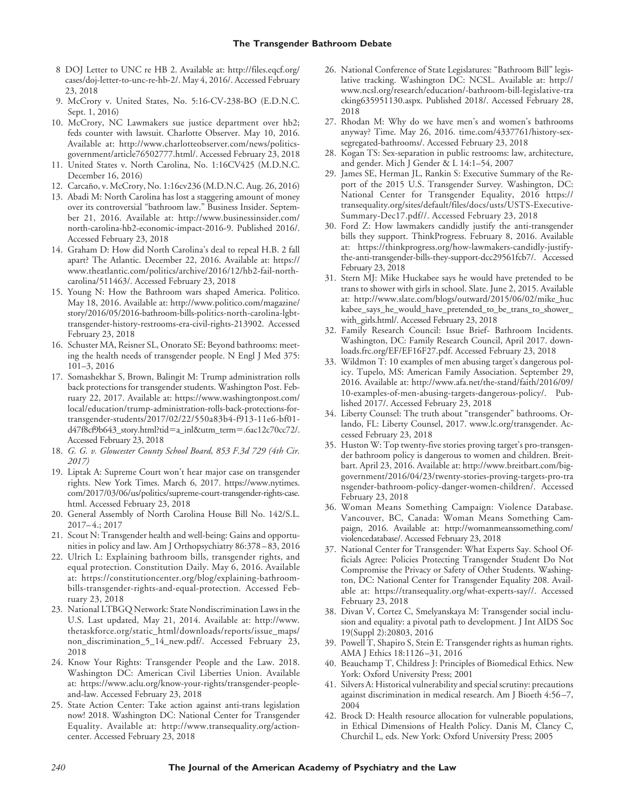- 8 DOJ Letter to UNC re HB 2. Available at: [http://files.eqcf.org/](http://files.eqcf.org/cases/doj-letter-to-unc-re-hb-2/) [cases/doj-letter-to-unc-re-hb-2/.](http://files.eqcf.org/cases/doj-letter-to-unc-re-hb-2/) May 4, 2016/. Accessed February 23, 2018
- 9. McCrory v. United States, No. 5:16-CV-238-BO (E.D.N.C. Sept. 1, 2016)
- 10. McCrory, NC Lawmakers sue justice department over hb2; feds counter with lawsuit. Charlotte Observer. May 10, 2016. Available at: [http://www.charlotteobserver.com/news/politics](http://www.charlotteobserver.com/news/politics-government/article76502777.html/)[government/article76502777.html/.](http://www.charlotteobserver.com/news/politics-government/article76502777.html/) Accessed February 23, 2018
- 11. United States v. North Carolina, No. 1:16CV425 (M.D.N.C. December 16, 2016)
- 12. Carcaño, v. McCrory, No. 1:16cv236 (M.D.N.C. Aug. 26, 2016)
- 13. Abadi M: North Carolina has lost a staggering amount of money over its controversial "bathroom law." Business Insider. September 21, 2016. Available at: [http://www.businessinsider.com/](http://www.businessinsider.com/north-carolina-hb2-economic-impact-2016-9) [north-carolina-hb2-economic-impact-2016-9.](http://www.businessinsider.com/north-carolina-hb2-economic-impact-2016-9) Published 2016/. Accessed February 23, 2018
- 14. Graham D: How did North Carolina's deal to repeal H.B. 2 fall apart? The Atlantic. December 22, 2016. Available at: [https://](https://www.theatlantic.com/politics/archive/2016/12/hb2-fail-north-carolina/511463/) [www.theatlantic.com/politics/archive/2016/12/hb2-fail-north](https://www.theatlantic.com/politics/archive/2016/12/hb2-fail-north-carolina/511463/)[carolina/511463/.](https://www.theatlantic.com/politics/archive/2016/12/hb2-fail-north-carolina/511463/) Accessed February 23, 2018
- 15. Young N: How the Bathroom wars shaped America. Politico. May 18, 2016. Available at: [http://www.politico.com/magazine/](http://www.politico.com/magazine/story/2016/05/2016-bathroom-bills-politics-north-carolina-lgbt-transgender-history-restrooms-era-civil-rights-213902) [story/2016/05/2016-bathroom-bills-politics-north-carolina-lgbt](http://www.politico.com/magazine/story/2016/05/2016-bathroom-bills-politics-north-carolina-lgbt-transgender-history-restrooms-era-civil-rights-213902)[transgender-history-restrooms-era-civil-rights-213902.](http://www.politico.com/magazine/story/2016/05/2016-bathroom-bills-politics-north-carolina-lgbt-transgender-history-restrooms-era-civil-rights-213902) Accessed February 23, 2018
- 16. Schuster MA, Reisner SL, Onorato SE: Beyond bathrooms: meeting the health needs of transgender people. N Engl J Med 375: 101–3, 2016
- 17. Somashekhar S, Brown, Balingit M: Trump administration rolls back protections for transgender students. Washington Post. February 22, 2017. Available at: [https://www.washingtonpost.com/](https://www.washingtonpost.com/local/education/trump-administration-rolls-back-protections-for-transgender-students/2017/02/22/550a83b4-f913-11e6-bf01-d47f8cf9b643_story.html?tid=a_inl&utm_term=.6ac12c70cc72/) [local/education/trump-administration-rolls-back-protections-for](https://www.washingtonpost.com/local/education/trump-administration-rolls-back-protections-for-transgender-students/2017/02/22/550a83b4-f913-11e6-bf01-d47f8cf9b643_story.html?tid=a_inl&utm_term=.6ac12c70cc72/)[transgender-students/2017/02/22/550a83b4-f913-11e6-bf01](https://www.washingtonpost.com/local/education/trump-administration-rolls-back-protections-for-transgender-students/2017/02/22/550a83b4-f913-11e6-bf01-d47f8cf9b643_story.html?tid=a_inl&utm_term=.6ac12c70cc72/) [d47f8cf9b643\\_story.html?tid](https://www.washingtonpost.com/local/education/trump-administration-rolls-back-protections-for-transgender-students/2017/02/22/550a83b4-f913-11e6-bf01-d47f8cf9b643_story.html?tid=a_inl&utm_term=.6ac12c70cc72/)-a\_inl&utm\_term-.6ac12c70cc72/. Accessed February 23, 2018
- 18. *G. G. v. Gloucester County School Board, 853 F.3d 729 (4th Cir. 2017)*
- 19. Liptak A: Supreme Court won't hear major case on transgender rights. New York Times. March 6, 2017. [https://www.nytimes.](https://www.nytimes.com/2017/03/06/us/politics/supreme-court-transgender-rights-case.html) [com/2017/03/06/us/politics/supreme-court-transgender-rights-case.](https://www.nytimes.com/2017/03/06/us/politics/supreme-court-transgender-rights-case.html) [html.](https://www.nytimes.com/2017/03/06/us/politics/supreme-court-transgender-rights-case.html) Accessed February 23, 2018
- 20. General Assembly of North Carolina House Bill No. 142/S.L. 2017– 4.; 2017
- 21. Scout N: Transgender health and well-being: Gains and opportunities in policy and law. Am J Orthopsychiatry 86:378 – 83, 2016
- 22. Ulrich L: Explaining bathroom bills, transgender rights, and equal protection. Constitution Daily. May 6, 2016. Available at: [https://constitutioncenter.org/blog/explaining-bathroom](https://constitutioncenter.org/blog/explaining-bathroom-bills-transgender-rights-and-equal-protection)[bills-transgender-rights-and-equal-protection.](https://constitutioncenter.org/blog/explaining-bathroom-bills-transgender-rights-and-equal-protection) Accessed February 23, 2018
- 23. National LTBGQ Network: State Nondiscrimination Laws in the U.S. Last updated, May 21, 2014. Available at: [http://www.](http://www.thetaskforce.org/static_html/downloads/reports/issue_maps/non_discrimination_5_14_new.pdf/) [thetaskforce.org/static\\_html/downloads/reports/issue\\_maps/](http://www.thetaskforce.org/static_html/downloads/reports/issue_maps/non_discrimination_5_14_new.pdf/) [non\\_discrimination\\_5\\_14\\_new.pdf/.](http://www.thetaskforce.org/static_html/downloads/reports/issue_maps/non_discrimination_5_14_new.pdf/) Accessed February 23, 2018
- 24. Know Your Rights: Transgender People and the Law. 2018. Washington DC: American Civil Liberties Union. Available at: [https://www.aclu.org/know-your-rights/transgender-people](https://www.aclu.org/know-your-rights/transgender-people-and-law)[and-law.](https://www.aclu.org/know-your-rights/transgender-people-and-law) Accessed February 23, 2018
- 25. State Action Center: Take action against anti-trans legislation now! 2018. Washington DC: National Center for Transgender Equality. Available at: [http://www.transequality.org/action](http://www.transequality.org/action-center)[center.](http://www.transequality.org/action-center) Accessed February 23, 2018
- 26. National Conference of State Legislatures: "Bathroom Bill" legislative tracking. Washington DC: NCSL. Available at: [http://](http://www.ncsl.org/research/education/-bathroom-bill-legislative-tracking635951130.aspx) [www.ncsl.org/research/education/-bathroom-bill-legislative-tra](http://www.ncsl.org/research/education/-bathroom-bill-legislative-tracking635951130.aspx) [cking635951130.aspx.](http://www.ncsl.org/research/education/-bathroom-bill-legislative-tracking635951130.aspx) Published 2018/. Accessed February 28, 2018
- 27. Rhodan M: Why do we have men's and women's bathrooms anyway? Time. May 26, 2016. [time.com/4337761/history-sex](http://time.com/4337761/history-sex-segregated-bathrooms/)[segregated-bathrooms/.](http://time.com/4337761/history-sex-segregated-bathrooms/) Accessed February 23, 2018
- 28. Kogan TS: Sex-separation in public restrooms: law, architecture, and gender. Mich J Gender & L 14:1–54, 2007
- 29. James SE, Herman JL, Rankin S: Executive Summary of the Report of the 2015 U.S. Transgender Survey*.* Washington, DC: National Center for Transgender Equality, 2016 [https://](https://transequality.org/sites/default/files/docs/usts/USTS-Executive-Summary-Dec17.pdf//) [transequality.org/sites/default/files/docs/usts/USTS-Executive-](https://transequality.org/sites/default/files/docs/usts/USTS-Executive-Summary-Dec17.pdf//)[Summary-Dec17.pdf//.](https://transequality.org/sites/default/files/docs/usts/USTS-Executive-Summary-Dec17.pdf//) Accessed February 23, 2018
- 30. Ford Z: How lawmakers candidly justify the anti-transgender bills they support. ThinkProgress. February 8, 2016. Available at: [https://thinkprogress.org/how-lawmakers-candidly-justify](https://thinkprogress.org/how-lawmakers-candidly-justify-the-anti-transgender-bills-they-support-dcc29561fcb7/)[the-anti-transgender-bills-they-support-dcc29561fcb7/.](https://thinkprogress.org/how-lawmakers-candidly-justify-the-anti-transgender-bills-they-support-dcc29561fcb7/) Accessed February 23, 2018
- 31. Stern MJ: Mike Huckabee says he would have pretended to be trans to shower with girls in school. Slate. June 2, 2015. Available at: [http://www.slate.com/blogs/outward/2015/06/02/mike\\_huc](http://www.slate.com/blogs/outward/2015/06/02/mike_huckabee_says_he_would_have_pretended_to_be_trans_to_shower_with_girls.html/) [kabee\\_says\\_he\\_would\\_have\\_pretended\\_to\\_be\\_trans\\_to\\_shower\\_](http://www.slate.com/blogs/outward/2015/06/02/mike_huckabee_says_he_would_have_pretended_to_be_trans_to_shower_with_girls.html/) [with\\_girls.html/.](http://www.slate.com/blogs/outward/2015/06/02/mike_huckabee_says_he_would_have_pretended_to_be_trans_to_shower_with_girls.html/) Accessed February 23, 2018
- 32. Family Research Council: Issue Brief- Bathroom Incidents. Washington, DC: Family Research Council, April 2017. downloads.frc.org/EF/EF16F27.pdf. Accessed February 23, 2018
- 33. Wildmon T: 10 examples of men abusing target's dangerous policy. Tupelo, MS: American Family Association. September 29, 2016. Available at: [http://www.afa.net/the-stand/faith/2016/09/](http://www.afa.net/the-stand/faith/2016/09/10-examples-of-men-abusing-targets-dangerous-policy/) [10-examples-of-men-abusing-targets-dangerous-policy/.](http://www.afa.net/the-stand/faith/2016/09/10-examples-of-men-abusing-targets-dangerous-policy/) Published 2017/. Accessed February 23, 2018
- 34. Liberty Counsel: The truth about "transgender" bathrooms. Orlando, FL: Liberty Counsel, 2017. www.lc.org/transgender. Accessed February 23, 2018
- 35. Huston W: Top twenty-five stories proving target's pro-transgender bathroom policy is dangerous to women and children. Breitbart. April 23, 2016. Available at: [http://www.breitbart.com/big](http://www.breitbart.com/big-government/2016/04/23/twenty-stories-proving-targets-pro-transgender-bathroom-policy-danger-women-children/)[government/2016/04/23/twenty-stories-proving-targets-pro-tra](http://www.breitbart.com/big-government/2016/04/23/twenty-stories-proving-targets-pro-transgender-bathroom-policy-danger-women-children/) [nsgender-bathroom-policy-danger-women-children/.](http://www.breitbart.com/big-government/2016/04/23/twenty-stories-proving-targets-pro-transgender-bathroom-policy-danger-women-children/) Accessed February 23, 2018
- 36. Woman Means Something Campaign: Violence Database. Vancouver, BC, Canada: Woman Means Something Campaign, 2016. Available at: [http://womanmeanssomething.com/](http://womanmeanssomething.com/violencedatabase/) [violencedatabase/.](http://womanmeanssomething.com/violencedatabase/) Accessed February 23, 2018
- 37. National Center for Transgender: What Experts Say. School Officials Agree: Policies Protecting Transgender Student Do Not Compromise the Privacy or Safety of Other Students. Washington, DC: National Center for Transgender Equality 208. Available at: [https://transequality.org/what-experts-say//.](https://transequality.org/what-experts-say//) Accessed February 23, 2018
- 38. Divan V, Cortez C, Smelyanskaya M: Transgender social inclusion and equality: a pivotal path to development. J Int AIDS Soc 19(Suppl 2):20803, 2016
- 39. Powell T, Shapiro S, Stein E: Transgender rights as human rights. AMA J Ethics 18:1126 –31, 2016
- 40. Beauchamp T, Childress J: Principles of Biomedical Ethics. New York: Oxford University Press; 2001
- 41. Silvers A: Historical vulnerability and special scrutiny: precautions against discrimination in medical research. Am J Bioeth 4:56 –7, 2004
- 42. Brock D: Health resource allocation for vulnerable populations, in Ethical Dimensions of Health Policy. Danis M, Clancy C, Churchil L, eds. New York: Oxford University Press; 2005